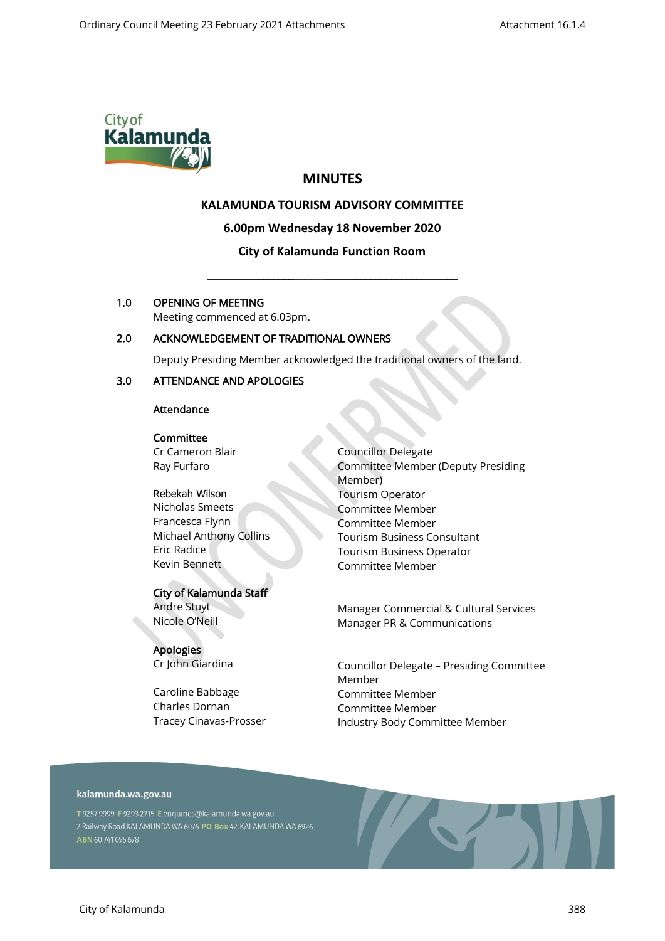

# **MINUTES**

# **KALAMUNDA TOURISM ADVISORY COMMITTEE**

#### **6.00pm Wednesday 18 November 2020**

# **City of Kalamunda Function Room**

\_\_\_\_\_\_\_\_\_\_\_\_\_\_\_\_\_\_\_\_\_\_\_\_\_\_\_\_\_\_\_\_\_\_\_\_\_\_\_\_\_\_\_\_\_\_\_\_\_\_\_\_

### 1.0 OPENING OF MEETING

Meeting commenced at 6.03pm.

# 2.0 ACKNOWLEDGEMENT OF TRADITIONAL OWNERS

Deputy Presiding Member acknowledged the traditional owners of the land.

### 3.0 ATTENDANCE AND APOLOGIES

### Attendance

#### Committee

Cr Cameron Blair Ray Furfaro

Rebekah Wilson Nicholas Smeets Francesca Flynn Michael Anthony Collins Eric Radice Kevin Bennett

### City of Kalamunda Staff

Andre Stuyt Nicole O'Neill

**Apologies** Cr John Giardina

Caroline Babbage Charles Dornan Tracey Cinavas-Prosser Councillor Delegate Committee Member (Deputy Presiding Member) Tourism Operator Committee Member Committee Member Tourism Business Consultant Tourism Business Operator Committee Member

Manager Commercial & Cultural Services Manager PR & Communications

Councillor Delegate – Presiding Committee Member Committee Member Committee Member Industry Body Committee Member

# kalamunda.wa.gov.au

T 9257 9999 F 9293 2715 E enquiries@kalamunda.wa.gov.au 2 Railway Road KALAMUNDA WA 6076 PO Box 42, KALAMUNDA WA 6926 ABN 60741095678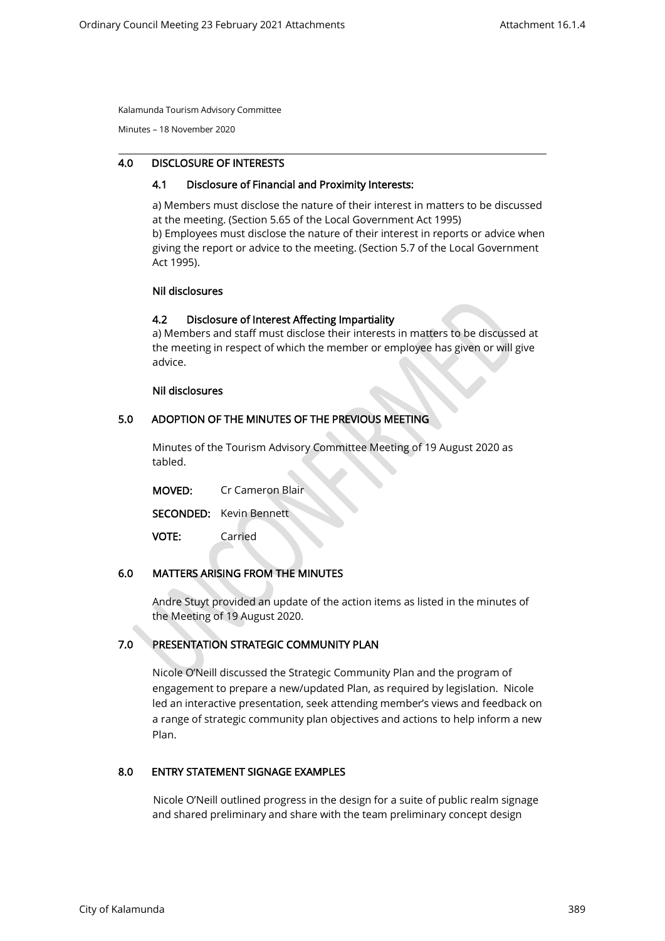Minutes – 18 November 2020

### 4.0 DISCLOSURE OF INTERESTS

#### 4.1 Disclosure of Financial and Proximity Interests:

a) Members must disclose the nature of their interest in matters to be discussed at the meeting. (Section 5.65 of the Local Government Act 1995) b) Employees must disclose the nature of their interest in reports or advice when giving the report or advice to the meeting. (Section 5.7 of the Local Government Act 1995).

#### Nil disclosures

### 4.2 Disclosure of Interest Affecting Impartiality

a) Members and staff must disclose their interests in matters to be discussed at the meeting in respect of which the member or employee has given or will give advice.

#### Nil disclosures

### 5.0 ADOPTION OF THE MINUTES OF THE PREVIOUS MEETING

Minutes of the Tourism Advisory Committee Meeting of 19 August 2020 as tabled.

| <b>MOVED:</b> | Cr Cameron Blair               |
|---------------|--------------------------------|
|               | <b>SECONDED:</b> Kevin Bennett |
| <b>VOTE:</b>  | Carried                        |

### 6.0 MATTERS ARISING FROM THE MINUTES

Andre Stuyt provided an update of the action items as listed in the minutes of the Meeting of 19 August 2020.

# 7.0 PRESENTATION STRATEGIC COMMUNITY PLAN

Nicole O'Neill discussed the Strategic Community Plan and the program of engagement to prepare a new/updated Plan, as required by legislation. Nicole led an interactive presentation, seek attending member's views and feedback on a range of strategic community plan objectives and actions to help inform a new Plan.

### 8.0 ENTRY STATEMENT SIGNAGE EXAMPLES

Nicole O'Neill outlined progress in the design for a suite of public realm signage and shared preliminary and share with the team preliminary concept design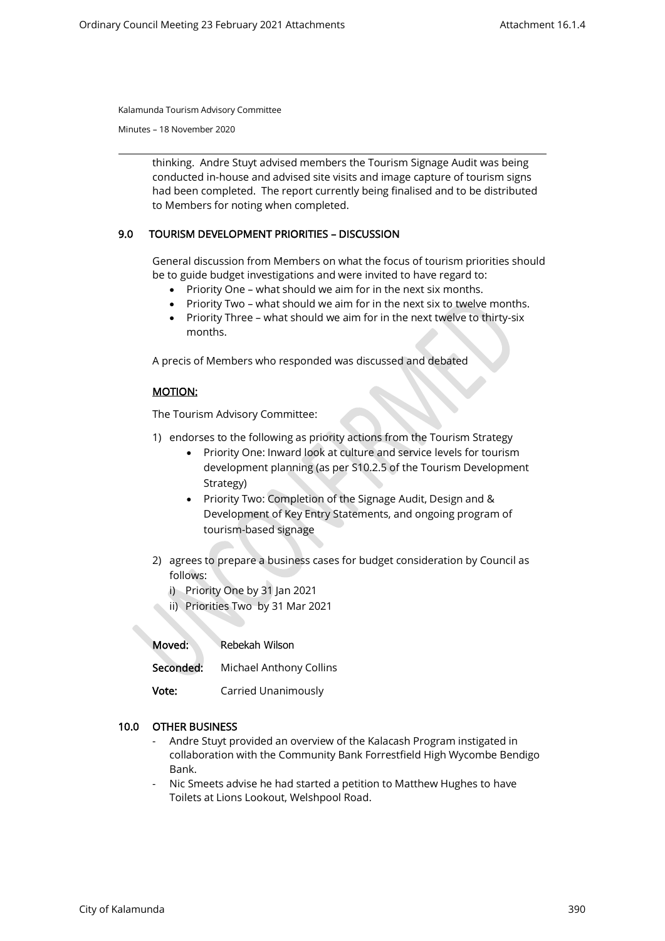Minutes – 18 November 2020

thinking. Andre Stuyt advised members the Tourism Signage Audit was being conducted in-house and advised site visits and image capture of tourism signs had been completed. The report currently being finalised and to be distributed to Members for noting when completed.

### 9.0 TOURISM DEVELOPMENT PRIORITIES – DISCUSSION

General discussion from Members on what the focus of tourism priorities should be to guide budget investigations and were invited to have regard to:

- Priority One what should we aim for in the next six months.
- Priority Two what should we aim for in the next six to twelve months.
- Priority Three what should we aim for in the next twelve to thirty-six months.

A precis of Members who responded was discussed and debated

### MOTION:

The Tourism Advisory Committee:

- 1) endorses to the following as priority actions from the Tourism Strategy
	- Priority One: Inward look at culture and service levels for tourism development planning (as per S10.2.5 of the Tourism Development Strategy)
	- Priority Two: Completion of the Signage Audit, Design and & Development of Key Entry Statements, and ongoing program of tourism-based signage
- 2) agrees to prepare a business cases for budget consideration by Council as follows:
	- i) Priority One by 31 Jan 2021
	- ii) Priorities Two by 31 Mar 2021

Moved: Rebekah Wilson Seconded: Michael Anthony Collins **Vote:** Carried Unanimously

#### 10.0 OTHER BUSINESS

- Andre Stuyt provided an overview of the Kalacash Program instigated in collaboration with the Community Bank Forrestfield High Wycombe Bendigo Bank.
- Nic Smeets advise he had started a petition to Matthew Hughes to have Toilets at Lions Lookout, Welshpool Road.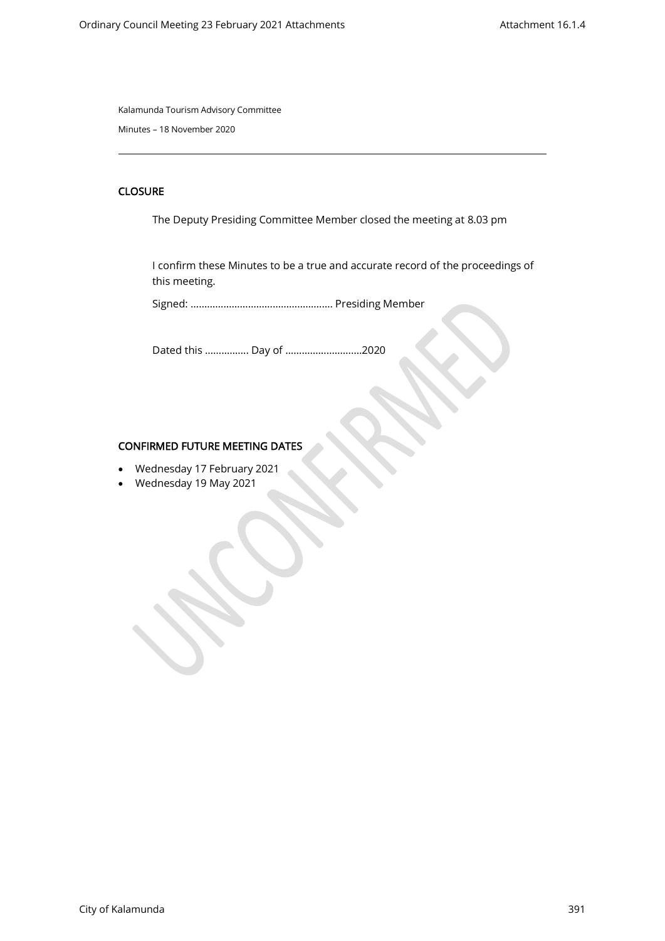Minutes – 18 November 2020

# **CLOSURE**

The Deputy Presiding Committee Member closed the meeting at 8.03 pm

I confirm these Minutes to be a true and accurate record of the proceedings of this meeting.

Signed: ……………………………………………. Presiding Member

Dated this ……………. Day of ……………………….2020

### CONFIRMED FUTURE MEETING DATES

- Wednesday 17 February 2021
- Wednesday 19 May 2021